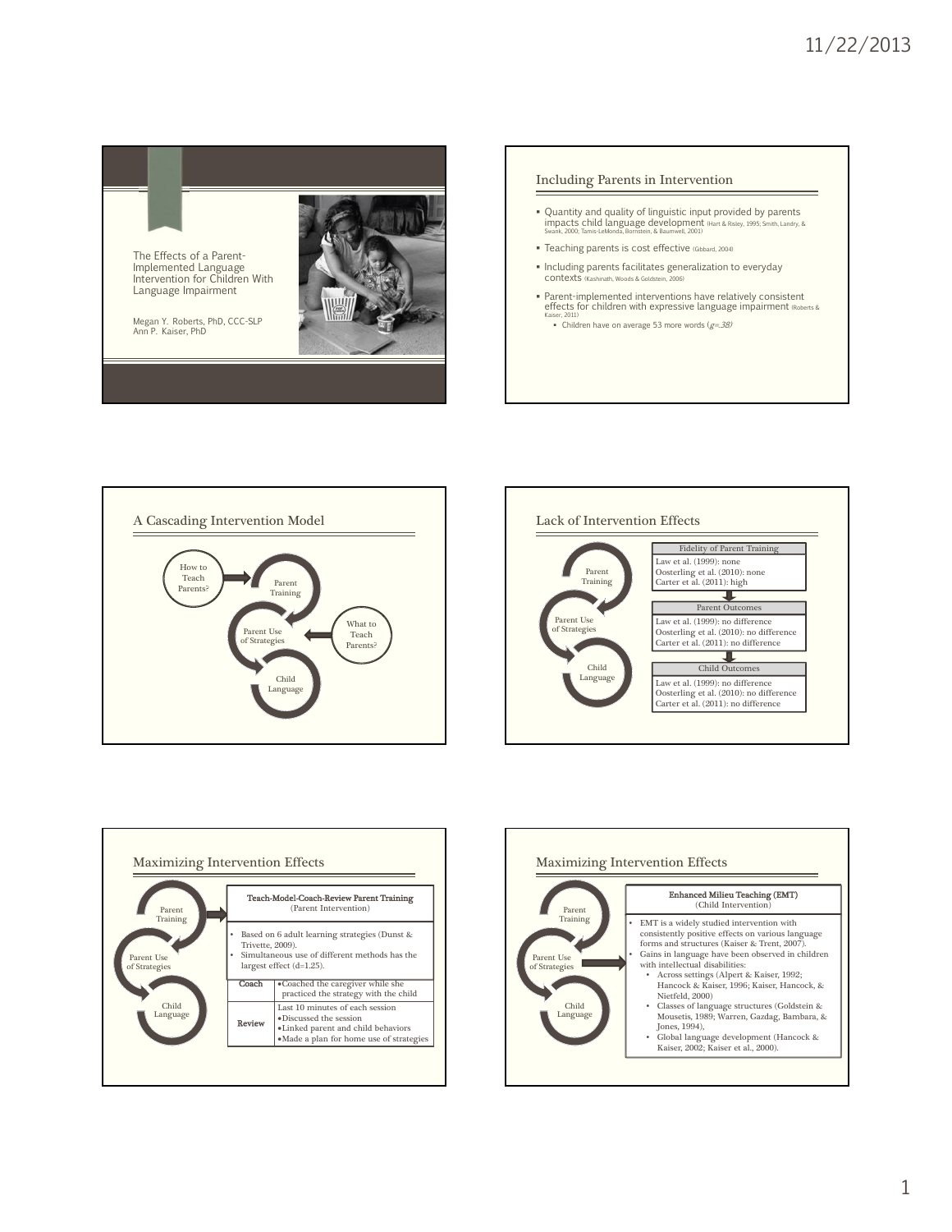









1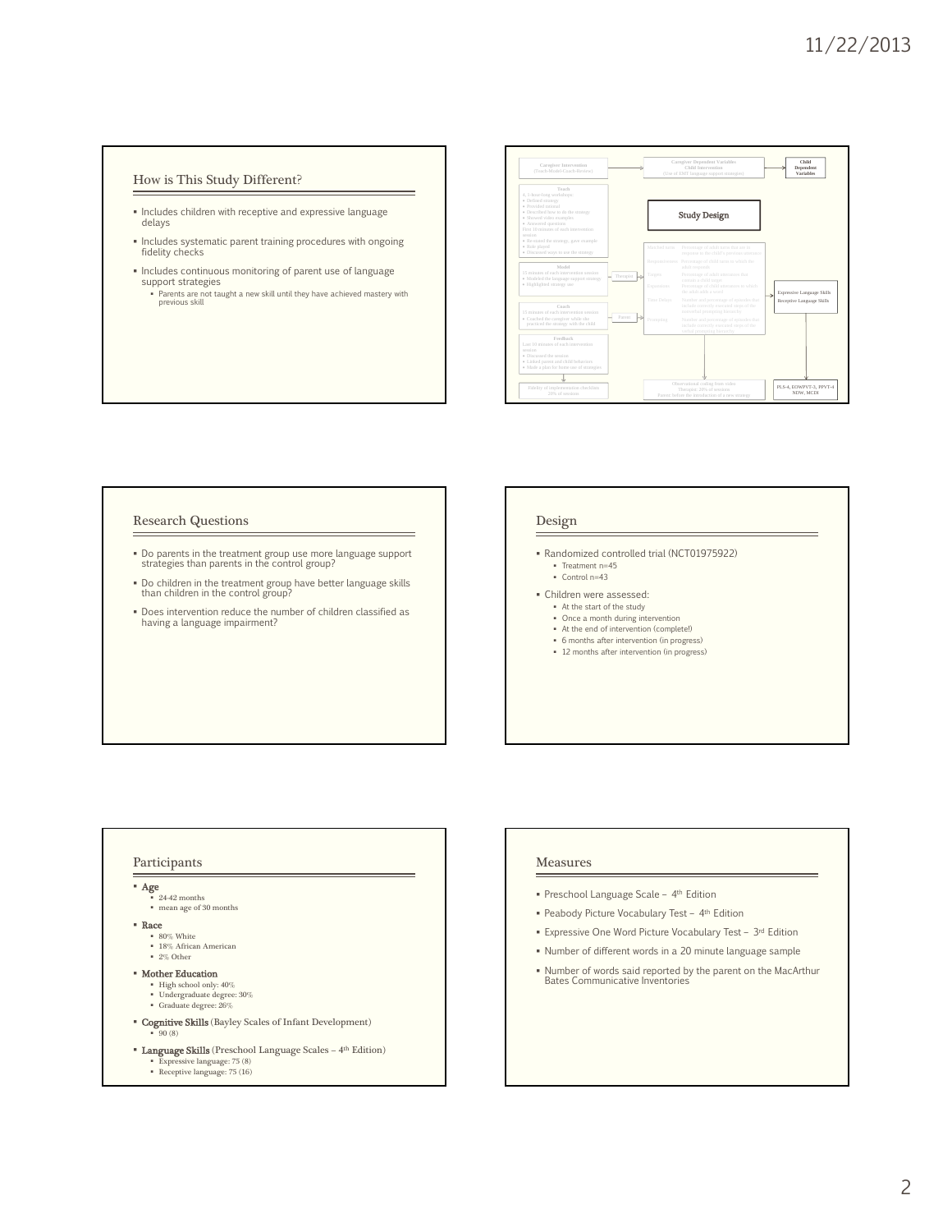# How is This Study Different?

- Includes children with receptive and expressive language delays
- Includes systematic parent training procedures with ongoing fidelity checks
- $\blacksquare$  Includes continuous monitoring of parent use of language support strategies Parents are not taught a new skill until they have achieved mastery with previous skill



## Research Questions

- Do parents in the treatment group use more language support strategies than parents in the control group?
- Do children in the treatment group have better language skills than children in the control group?
- Does intervention reduce the number of children classified as having a language impairment?

## Design

- Randomized controlled trial (NCT01975922) Treatment n=45
	- Control n=43
- Children were assessed:
	- At the start of the study Once a month during intervention
	- At the end of intervention (complete!)
	- 6 months after intervention (in progress)
	- 12 months after intervention (in progress)

## Participants

 Age  $24-42$  months mean age of 30 months Race 80% White

18% African American 2% Other

- **Mother Education**<br>
High school only: 40%<br>
Undergraduate degree: 30%
	- Graduate degree: 26%
- Cognitive Skills (Bayley Scales of Infant Development) .<br>90 (8)
- **Language Skills** (Preschool Language Scales 4<sup>th</sup> Edition) Expressive language: 75 (8) Receptive language: 75 (16)

- Measures
- Preschool Language Scale 4th Edition
- Peabody Picture Vocabulary Test 4th Edition
- Expressive One Word Picture Vocabulary Test 3rd Edition
- Number of different words in a 20 minute language sample
- Number of words said reported by the parent on the MacArthur Bates Communicative Inventories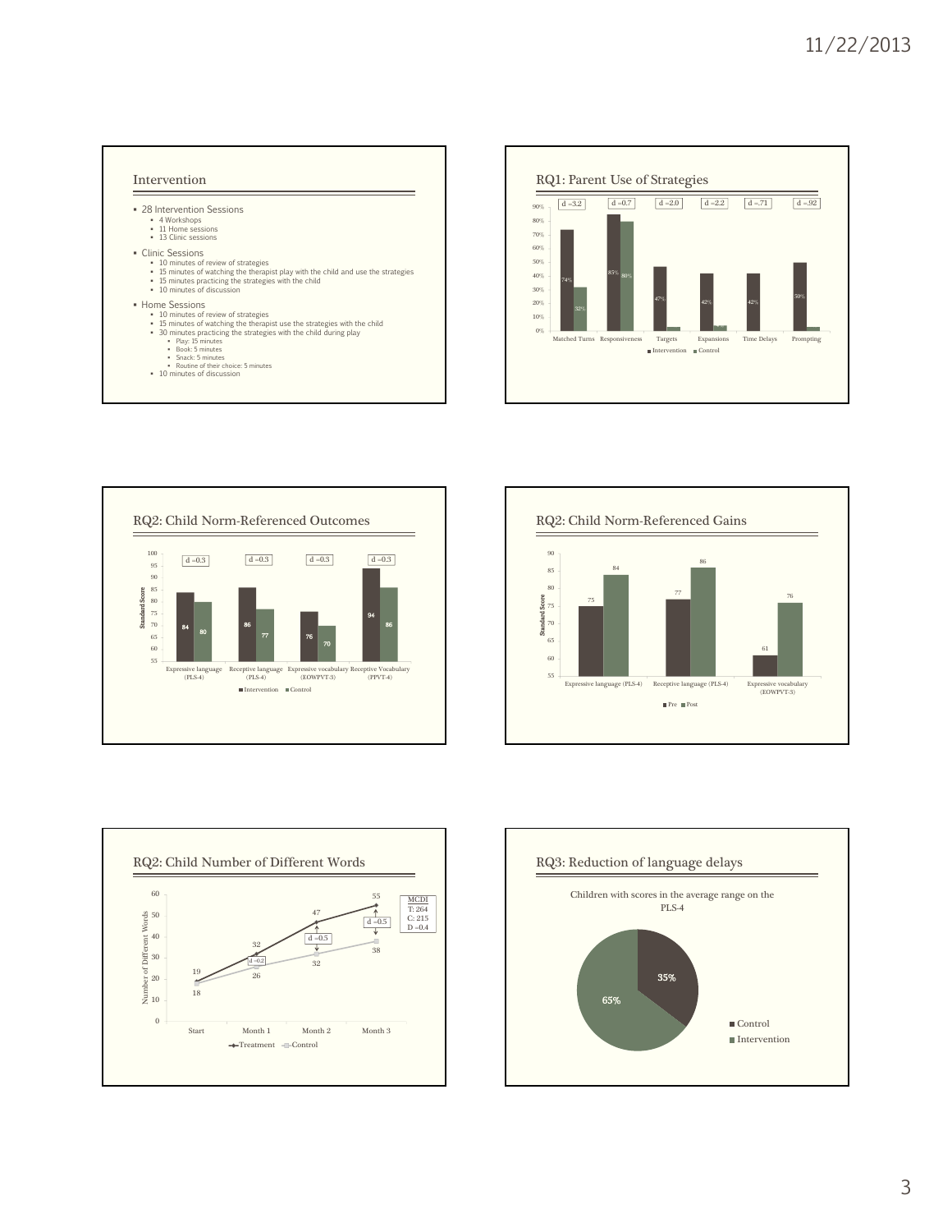